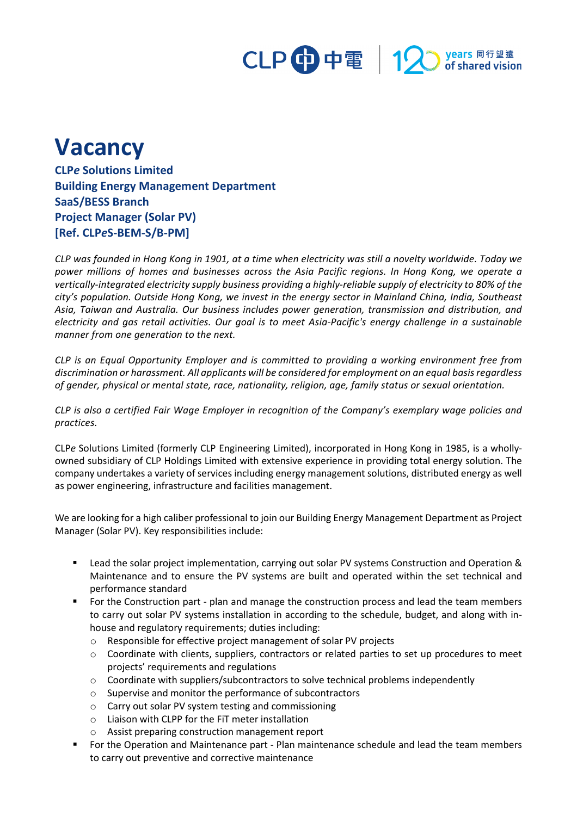

## **Vacancy**

**CLP***e* **Solutions Limited Building Energy Management Department SaaS/BESS Branch Project Manager (Solar PV) [Ref. CLP***e***S-BEM-S/B-PM]**

*CLP was founded in Hong Kong in 1901, at a time when electricity was still a novelty worldwide. Today we power millions of homes and businesses across the Asia Pacific regions. In Hong Kong, we operate a vertically-integrated electricity supply business providing a highly-reliable supply of electricity to 80% of the city's population. Outside Hong Kong, we invest in the energy sector in Mainland China, India, Southeast Asia, Taiwan and Australia. Our business includes power generation, transmission and distribution, and electricity and gas retail activities. Our goal is to meet Asia-Pacific's energy challenge in a sustainable manner from one generation to the next.*

*CLP is an Equal Opportunity Employer and is committed to providing a working environment free from discrimination or harassment. All applicants will be considered for employment on an equal basis regardless of gender, physical or mental state, race, nationality, religion, age, family status or sexual orientation.*

*CLP is also a certified Fair Wage Employer in recognition of the Company's exemplary wage policies and practices.*

CLP*e* Solutions Limited (formerly CLP Engineering Limited), incorporated in Hong Kong in 1985, is a whollyowned subsidiary of CLP Holdings Limited with extensive experience in providing total energy solution. The company undertakes a variety of services including energy management solutions, distributed energy as well as power engineering, infrastructure and facilities management.

We are looking for a high caliber professional to join our Building Energy Management Department as Project Manager (Solar PV). Key responsibilities include:

- Lead the solar project implementation, carrying out solar PV systems Construction and Operation & Maintenance and to ensure the PV systems are built and operated within the set technical and performance standard
- For the Construction part plan and manage the construction process and lead the team members to carry out solar PV systems installation in according to the schedule, budget, and along with inhouse and regulatory requirements; duties including:
	- o Responsible for effective project management of solar PV projects
	- o Coordinate with clients, suppliers, contractors or related parties to set up procedures to meet projects' requirements and regulations
	- o Coordinate with suppliers/subcontractors to solve technical problems independently
	- o Supervise and monitor the performance of subcontractors
	- o Carry out solar PV system testing and commissioning
	- o Liaison with CLPP for the FiT meter installation
	- o Assist preparing construction management report
- For the Operation and Maintenance part Plan maintenance schedule and lead the team members to carry out preventive and corrective maintenance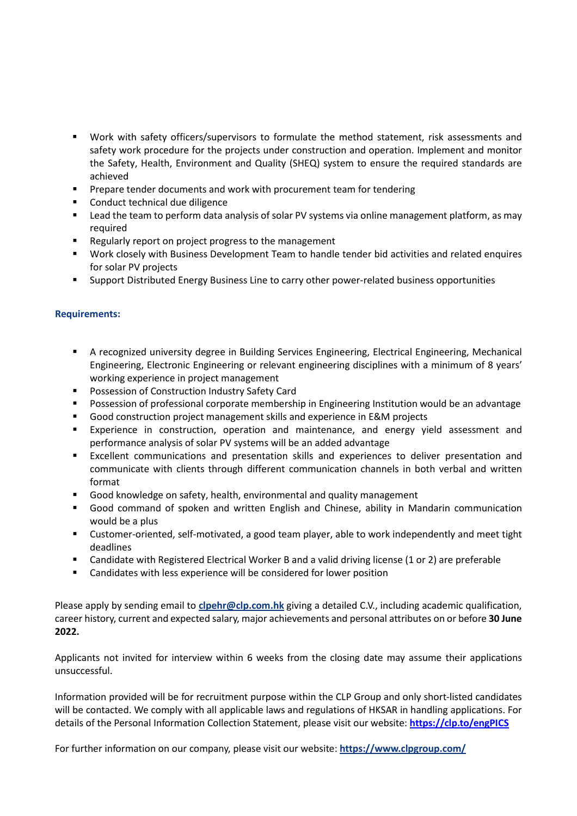- Work with safety officers/supervisors to formulate the method statement, risk assessments and safety work procedure for the projects under construction and operation. Implement and monitor the Safety, Health, Environment and Quality (SHEQ) system to ensure the required standards are achieved
- **Prepare tender documents and work with procurement team for tendering**
- Conduct technical due diligence
- Lead the team to perform data analysis of solar PV systems via online management platform, as may required
- Regularly report on project progress to the management
- Work closely with Business Development Team to handle tender bid activities and related enquires for solar PV projects
- Support Distributed Energy Business Line to carry other power-related business opportunities

## **Requirements:**

- A recognized university degree in Building Services Engineering, Electrical Engineering, Mechanical Engineering, Electronic Engineering or relevant engineering disciplines with a minimum of 8 years' working experience in project management
- **POSSESSION OF CONSTRUCTION Industry Safety Card**
- Possession of professional corporate membership in Engineering Institution would be an advantage
- Good construction project management skills and experience in E&M projects
- Experience in construction, operation and maintenance, and energy yield assessment and performance analysis of solar PV systems will be an added advantage
- Excellent communications and presentation skills and experiences to deliver presentation and communicate with clients through different communication channels in both verbal and written format
- Good knowledge on safety, health, environmental and quality management
- Good command of spoken and written English and Chinese, ability in Mandarin communication would be a plus
- Customer-oriented, self-motivated, a good team player, able to work independently and meet tight deadlines
- Candidate with Registered Electrical Worker B and a valid driving license (1 or 2) are preferable
- Candidates with less experience will be considered for lower position

Please apply by sending email to **clpehr@clp.com.hk** giving a detailed C.V., including academic qualification, career history, current and expected salary, major achievements and personal attributes on or before **30 June 2022.** 

Applicants not invited for interview within 6 weeks from the closing date may assume their applications unsuccessful.

Information provided will be for recruitment purpose within the CLP Group and only short-listed candidates will be contacted. We comply with all applicable laws and regulations of HKSAR in handling applications. For details of the Personal Information Collection Statement, please visit our website: **<https://clp.to/engPICS>**

For further information on our company, please visit our website: **<https://www.clpgroup.com/>**